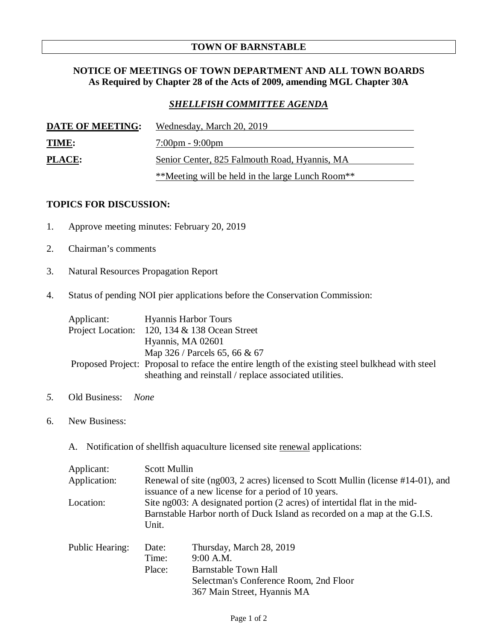### **TOWN OF BARNSTABLE**

## **NOTICE OF MEETINGS OF TOWN DEPARTMENT AND ALL TOWN BOARDS As Required by Chapter 28 of the Acts of 2009, amending MGL Chapter 30A**

# *SHELLFISH COMMITTEE AGENDA*

| DATE OF MEETING: | Wednesday, March 20, 2019                        |
|------------------|--------------------------------------------------|
| <b>TIME:</b>     | $7:00 \text{pm} - 9:00 \text{pm}$                |
| <b>PLACE:</b>    | Senior Center, 825 Falmouth Road, Hyannis, MA    |
|                  | **Meeting will be held in the large Lunch Room** |

## **TOPICS FOR DISCUSSION:**

- 1. Approve meeting minutes: February 20, 2019
- 2. Chairman's comments
- 3. Natural Resources Propagation Report
- 4. Status of pending NOI pier applications before the Conservation Commission:

| Applicant: | <b>Hyannis Harbor Tours</b>                                                                      |  |
|------------|--------------------------------------------------------------------------------------------------|--|
|            | Project Location: 120, 134 & 138 Ocean Street                                                    |  |
|            | Hyannis, MA 02601                                                                                |  |
|            | Map 326 / Parcels 65, 66 & 67                                                                    |  |
|            | Proposed Project: Proposal to reface the entire length of the existing steel bulkhead with steel |  |
|            | sheathing and reinstall / replace associated utilities.                                          |  |

- *5.* Old Business: *None*
- 6. New Business:
	- A. Notification of shellfish aquaculture licensed site renewal applications:

| Applicant:             | Scott Mullin                                                                                                                                                    |                                         |  |
|------------------------|-----------------------------------------------------------------------------------------------------------------------------------------------------------------|-----------------------------------------|--|
| Application:           | Renewal of site (ng003, 2 acres) licensed to Scott Mullin (license #14-01), and<br>issuance of a new license for a period of 10 years.                          |                                         |  |
| Location:              | Site ng003: A designated portion (2 acres) of intertidal flat in the mid-<br>Barnstable Harbor north of Duck Island as recorded on a map at the G.I.S.<br>Unit. |                                         |  |
| <b>Public Hearing:</b> | Date:<br>Time:                                                                                                                                                  | Thursday, March 28, 2019<br>$9:00$ A.M. |  |
|                        | Place:                                                                                                                                                          | <b>Barnstable Town Hall</b>             |  |
|                        |                                                                                                                                                                 | Selectman's Conference Room, 2nd Floor  |  |
|                        |                                                                                                                                                                 | 367 Main Street, Hyannis MA             |  |